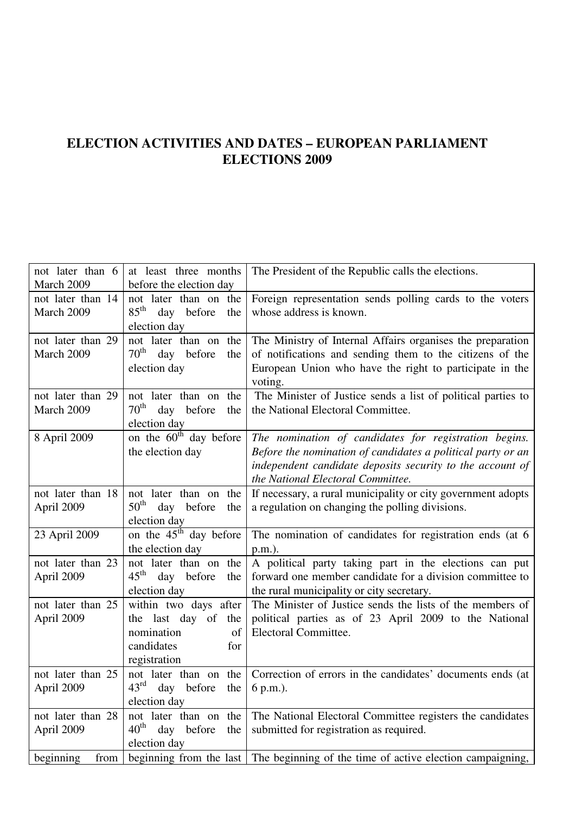## **ELECTION ACTIVITIES AND DATES – EUROPEAN PARLIAMENT ELECTIONS 2009**

| not later than 6  | at least three months                 | The President of the Republic calls the elections.           |
|-------------------|---------------------------------------|--------------------------------------------------------------|
| March 2009        | before the election day               |                                                              |
| not later than 14 | not later than on the                 | Foreign representation sends polling cards to the voters     |
| March 2009        | $85^{\text{th}}$<br>day before<br>the | whose address is known.                                      |
|                   | election day                          |                                                              |
| not later than 29 | not later than on the                 | The Ministry of Internal Affairs organises the preparation   |
| March 2009        | $70^{\text{th}}$<br>day before<br>the | of notifications and sending them to the citizens of the     |
|                   | election day                          | European Union who have the right to participate in the      |
|                   |                                       | voting.                                                      |
| not later than 29 | not later than on the                 | The Minister of Justice sends a list of political parties to |
| March 2009        | $70^{\rm th}$<br>day before<br>the    | the National Electoral Committee.                            |
|                   | election day                          |                                                              |
| 8 April 2009      | on the 60 <sup>th</sup> day before    | The nomination of candidates for registration begins.        |
|                   | the election day                      | Before the nomination of candidates a political party or an  |
|                   |                                       | independent candidate deposits security to the account of    |
|                   |                                       | the National Electoral Committee.                            |
| not later than 18 | not later than on the                 | If necessary, a rural municipality or city government adopts |
| April 2009        | $50^{\text{th}}$<br>day before<br>the | a regulation on changing the polling divisions.              |
|                   | election day                          |                                                              |
| 23 April 2009     | on the $45^{\text{th}}$<br>day before | The nomination of candidates for registration ends (at 6     |
|                   | the election day                      | p.m.).                                                       |
| not later than 23 | not later than on the                 | A political party taking part in the elections can put       |
| April 2009        | $45^{\text{th}}$<br>day before<br>the | forward one member candidate for a division committee to     |
|                   | election day                          | the rural municipality or city secretary.                    |
| not later than 25 | within two days after                 | The Minister of Justice sends the lists of the members of    |
| April 2009        | the last day of the                   | political parties as of 23 April 2009 to the National        |
|                   | nomination<br>of                      | Electoral Committee.                                         |
|                   | candidates<br>for                     |                                                              |
|                   | registration                          |                                                              |
| not later than 25 | not later than on the                 | Correction of errors in the candidates' documents ends (at   |
| April 2009        | $43^{\text{rd}}$<br>day before<br>the | 6 p.m.).                                                     |
|                   | election day                          |                                                              |
| not later than 28 | the<br>not later than on              | The National Electoral Committee registers the candidates    |
| April 2009        | $40^{\text{th}}$<br>day before<br>the | submitted for registration as required.                      |
|                   | election day                          |                                                              |
| beginning<br>from | beginning from the last               | The beginning of the time of active election campaigning,    |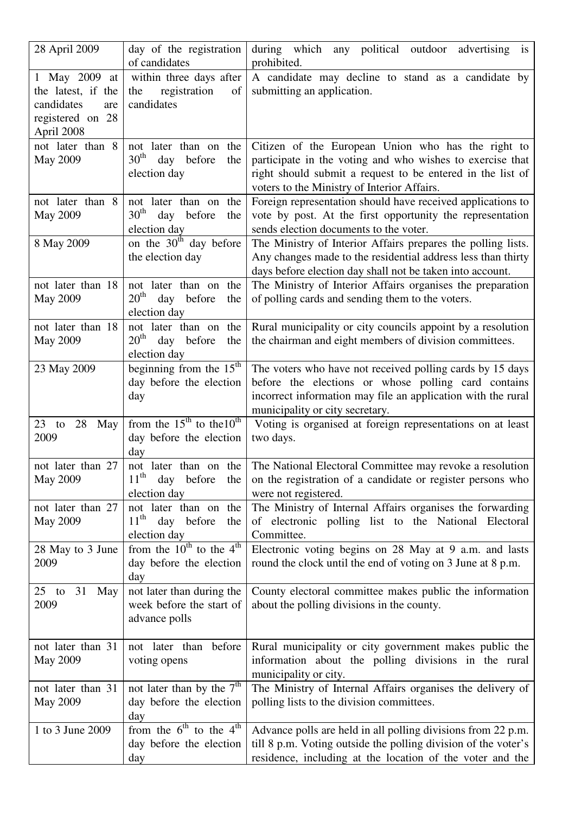| 28 April 2009                                                                              | day of the registration<br>of candidates                                          | during which any political outdoor advertising<br>is<br>prohibited.                                                                                                                                                          |
|--------------------------------------------------------------------------------------------|-----------------------------------------------------------------------------------|------------------------------------------------------------------------------------------------------------------------------------------------------------------------------------------------------------------------------|
| 1 May 2009 at<br>the latest, if the<br>candidates<br>are<br>registered on 28<br>April 2008 | within three days after<br>registration<br>of<br>the<br>candidates                | A candidate may decline to stand as a candidate by<br>submitting an application.                                                                                                                                             |
| not later than 8<br><b>May 2009</b>                                                        | not later than on the<br>30 <sup>th</sup><br>day before<br>the<br>election day    | Citizen of the European Union who has the right to<br>participate in the voting and who wishes to exercise that<br>right should submit a request to be entered in the list of<br>voters to the Ministry of Interior Affairs. |
| not later than 8<br><b>May 2009</b>                                                        | not later than on the<br>$30^{\text{th}}$<br>before<br>day<br>the<br>election day | Foreign representation should have received applications to<br>vote by post. At the first opportunity the representation<br>sends election documents to the voter.                                                           |
| 8 May 2009                                                                                 | on the 30 <sup>th</sup> day before<br>the election day                            | The Ministry of Interior Affairs prepares the polling lists.<br>Any changes made to the residential address less than thirty<br>days before election day shall not be taken into account.                                    |
| not later than 18<br><b>May 2009</b>                                                       | not later than on the<br>20 <sup>th</sup><br>day<br>before<br>the<br>election day | The Ministry of Interior Affairs organises the preparation<br>of polling cards and sending them to the voters.                                                                                                               |
| not later than 18<br><b>May 2009</b>                                                       | not later than on<br>the<br>$20^{\text{th}}$<br>day before<br>the<br>election day | Rural municipality or city councils appoint by a resolution<br>the chairman and eight members of division committees.                                                                                                        |
| 23 May 2009                                                                                | beginning from the $15th$<br>day before the election<br>day                       | The voters who have not received polling cards by 15 days<br>before the elections or whose polling card contains<br>incorrect information may file an application with the rural<br>municipality or city secretary.          |
| 28<br>$23$ to<br>May<br>2009                                                               | from the $15^{th}$ to the $10^{th}$<br>day before the election<br>day             | Voting is organised at foreign representations on at least<br>two days.                                                                                                                                                      |
| not later than 27<br><b>May 2009</b>                                                       | not later than on the<br>$11^{\text{th}}$<br>day<br>before the<br>election day    | The National Electoral Committee may revoke a resolution<br>on the registration of a candidate or register persons who<br>were not registered.                                                                               |
| not later than 27<br><b>May 2009</b>                                                       | not later than on the<br>$11th$ day before<br>the<br>election day                 | The Ministry of Internal Affairs organises the forwarding<br>of electronic polling list to the National Electoral<br>Committee.                                                                                              |
| 28 May to 3 June<br>2009                                                                   | from the $10^{th}$ to the 4 <sup>th</sup><br>day before the election<br>day       | Electronic voting begins on 28 May at 9 a.m. and lasts<br>round the clock until the end of voting on 3 June at 8 p.m.                                                                                                        |
| 31<br>$25$ to<br>May<br>2009                                                               | not later than during the<br>week before the start of<br>advance polls            | County electoral committee makes public the information<br>about the polling divisions in the county.                                                                                                                        |
| not later than 31<br><b>May 2009</b>                                                       | not later than before<br>voting opens                                             | Rural municipality or city government makes public the<br>information about the polling divisions in the rural<br>municipality or city.                                                                                      |
| not later than 31<br><b>May 2009</b>                                                       | not later than by the $7th$<br>day before the election<br>day                     | The Ministry of Internal Affairs organises the delivery of<br>polling lists to the division committees.                                                                                                                      |
| 1 to 3 June 2009                                                                           | from the $6^{th}$ to the $4^{th}$<br>day before the election<br>day               | Advance polls are held in all polling divisions from 22 p.m.<br>till 8 p.m. Voting outside the polling division of the voter's<br>residence, including at the location of the voter and the                                  |